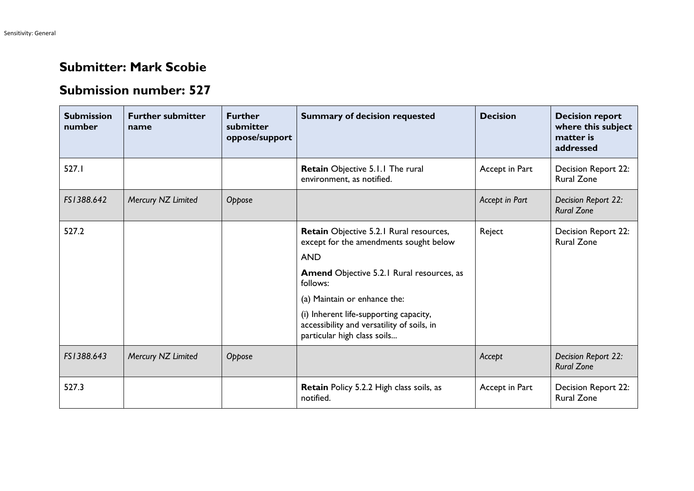## **Submitter: Mark Scobie**

## **Submission number: 527**

| <b>Submission</b><br>number | <b>Further submitter</b><br>name | <b>Further</b><br>submitter<br>oppose/support | <b>Summary of decision requested</b>                                                                                | <b>Decision</b> | <b>Decision report</b><br>where this subject<br>matter is<br>addressed |
|-----------------------------|----------------------------------|-----------------------------------------------|---------------------------------------------------------------------------------------------------------------------|-----------------|------------------------------------------------------------------------|
| 527.1                       |                                  |                                               | Retain Objective 5.1.1 The rural<br>environment, as notified.                                                       | Accept in Part  | Decision Report 22:<br><b>Rural Zone</b>                               |
| FS1388.642                  | Mercury NZ Limited               | Oppose                                        |                                                                                                                     | Accept in Part  | Decision Report 22:<br><b>Rural Zone</b>                               |
| 527.2                       |                                  |                                               | Retain Objective 5.2.1 Rural resources,<br>except for the amendments sought below                                   | Reject          | Decision Report 22:<br><b>Rural Zone</b>                               |
|                             |                                  |                                               | <b>AND</b>                                                                                                          |                 |                                                                        |
|                             |                                  |                                               | <b>Amend Objective 5.2.1 Rural resources, as</b><br>follows:                                                        |                 |                                                                        |
|                             |                                  |                                               | (a) Maintain or enhance the:                                                                                        |                 |                                                                        |
|                             |                                  |                                               | (i) Inherent life-supporting capacity,<br>accessibility and versatility of soils, in<br>particular high class soils |                 |                                                                        |
| FS1388.643                  | Mercury NZ Limited               | Oppose                                        |                                                                                                                     | Accept          | Decision Report 22:<br><b>Rural Zone</b>                               |
| 527.3                       |                                  |                                               | <b>Retain Policy 5.2.2 High class soils, as</b><br>notified.                                                        | Accept in Part  | Decision Report 22:<br><b>Rural Zone</b>                               |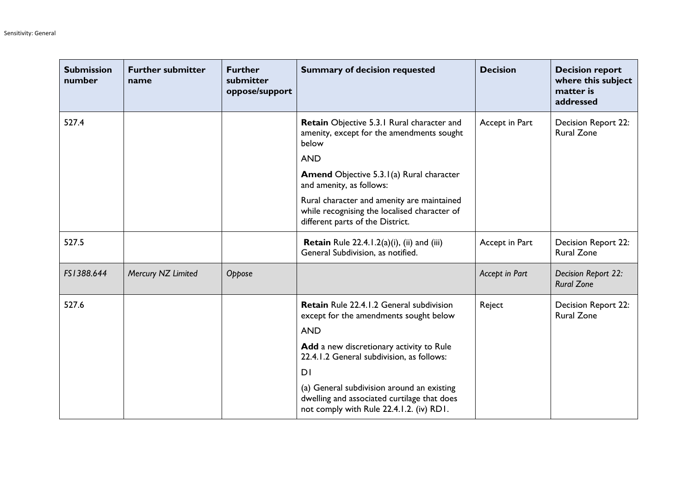| <b>Submission</b><br>number | <b>Further submitter</b><br>name | <b>Further</b><br>submitter<br>oppose/support | <b>Summary of decision requested</b>                                                                                                  | <b>Decision</b> | <b>Decision report</b><br>where this subject<br>matter is<br>addressed |
|-----------------------------|----------------------------------|-----------------------------------------------|---------------------------------------------------------------------------------------------------------------------------------------|-----------------|------------------------------------------------------------------------|
| 527.4                       |                                  |                                               | <b>Retain</b> Objective 5.3.1 Rural character and<br>amenity, except for the amendments sought<br>below                               | Accept in Part  | <b>Decision Report 22:</b><br><b>Rural Zone</b>                        |
|                             |                                  |                                               | <b>AND</b>                                                                                                                            |                 |                                                                        |
|                             |                                  |                                               | <b>Amend</b> Objective 5.3.1(a) Rural character<br>and amenity, as follows:                                                           |                 |                                                                        |
|                             |                                  |                                               | Rural character and amenity are maintained<br>while recognising the localised character of<br>different parts of the District.        |                 |                                                                        |
| 527.5                       |                                  |                                               | <b>Retain</b> Rule 22.4.1.2(a)(i), (ii) and (iii)<br>General Subdivision, as notified.                                                | Accept in Part  | <b>Decision Report 22:</b><br><b>Rural Zone</b>                        |
| FS1388.644                  | Mercury NZ Limited               | Oppose                                        |                                                                                                                                       | Accept in Part  | Decision Report 22:<br><b>Rural Zone</b>                               |
| 527.6                       |                                  |                                               | Retain Rule 22.4.1.2 General subdivision<br>except for the amendments sought below                                                    | Reject          | Decision Report 22:<br><b>Rural Zone</b>                               |
|                             |                                  |                                               | <b>AND</b>                                                                                                                            |                 |                                                                        |
|                             |                                  |                                               | Add a new discretionary activity to Rule<br>22.4.1.2 General subdivision, as follows:                                                 |                 |                                                                        |
|                             |                                  |                                               | D <sub>1</sub>                                                                                                                        |                 |                                                                        |
|                             |                                  |                                               | (a) General subdivision around an existing<br>dwelling and associated curtilage that does<br>not comply with Rule 22.4.1.2. (iv) RD1. |                 |                                                                        |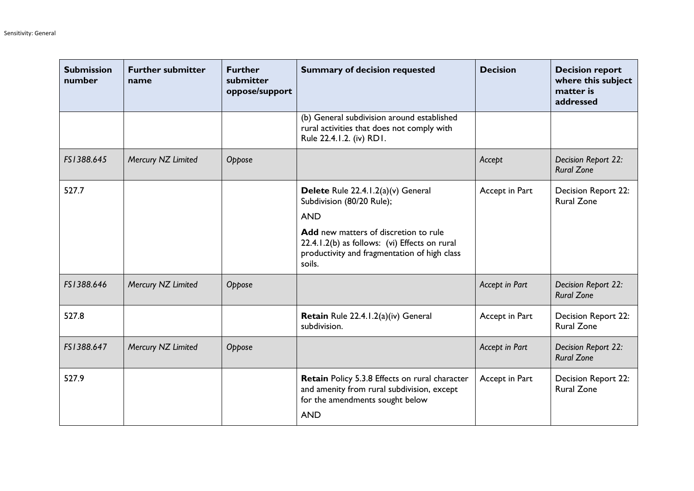| <b>Submission</b><br>number | <b>Further submitter</b><br>name | <b>Further</b><br>submitter<br>oppose/support | <b>Summary of decision requested</b>                                                                                                                                                                                              | <b>Decision</b> | <b>Decision report</b><br>where this subject<br>matter is<br>addressed |
|-----------------------------|----------------------------------|-----------------------------------------------|-----------------------------------------------------------------------------------------------------------------------------------------------------------------------------------------------------------------------------------|-----------------|------------------------------------------------------------------------|
|                             |                                  |                                               | (b) General subdivision around established<br>rural activities that does not comply with<br>Rule 22.4.1.2. (iv) RD1.                                                                                                              |                 |                                                                        |
| FS1388.645                  | Mercury NZ Limited               | Oppose                                        |                                                                                                                                                                                                                                   | Accept          | Decision Report 22:<br><b>Rural Zone</b>                               |
| 527.7                       |                                  |                                               | Delete Rule 22.4.1.2(a)(v) General<br>Subdivision (80/20 Rule);<br><b>AND</b><br>Add new matters of discretion to rule<br>22.4.1.2(b) as follows: (vi) Effects on rural<br>productivity and fragmentation of high class<br>soils. | Accept in Part  | <b>Decision Report 22:</b><br><b>Rural Zone</b>                        |
| FS1388.646                  | Mercury NZ Limited               | Oppose                                        |                                                                                                                                                                                                                                   | Accept in Part  | Decision Report 22:<br><b>Rural Zone</b>                               |
| 527.8                       |                                  |                                               | Retain Rule 22.4.1.2(a)(iv) General<br>subdivision.                                                                                                                                                                               | Accept in Part  | Decision Report 22:<br><b>Rural Zone</b>                               |
| FS1388.647                  | Mercury NZ Limited               | Oppose                                        |                                                                                                                                                                                                                                   | Accept in Part  | Decision Report 22:<br><b>Rural Zone</b>                               |
| 527.9                       |                                  |                                               | Retain Policy 5.3.8 Effects on rural character<br>and amenity from rural subdivision, except<br>for the amendments sought below<br><b>AND</b>                                                                                     | Accept in Part  | Decision Report 22:<br><b>Rural Zone</b>                               |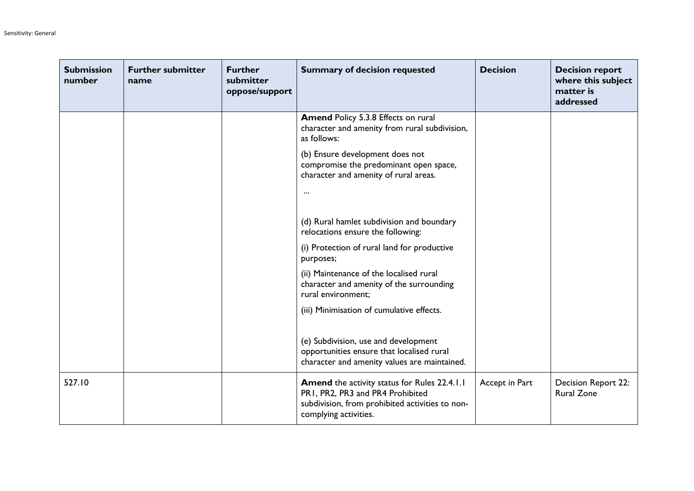| <b>Submission</b><br>number | <b>Further submitter</b><br>name | <b>Further</b><br>submitter<br>oppose/support | <b>Summary of decision requested</b>                                                                                                                                | <b>Decision</b> | <b>Decision report</b><br>where this subject<br>matter is<br>addressed |
|-----------------------------|----------------------------------|-----------------------------------------------|---------------------------------------------------------------------------------------------------------------------------------------------------------------------|-----------------|------------------------------------------------------------------------|
|                             |                                  |                                               | Amend Policy 5.3.8 Effects on rural<br>character and amenity from rural subdivision,<br>as follows:                                                                 |                 |                                                                        |
|                             |                                  |                                               | (b) Ensure development does not<br>compromise the predominant open space,<br>character and amenity of rural areas.<br>$\cdots$                                      |                 |                                                                        |
|                             |                                  |                                               | (d) Rural hamlet subdivision and boundary<br>relocations ensure the following:                                                                                      |                 |                                                                        |
|                             |                                  |                                               | (i) Protection of rural land for productive<br>purposes;                                                                                                            |                 |                                                                        |
|                             |                                  |                                               | (ii) Maintenance of the localised rural<br>character and amenity of the surrounding<br>rural environment;                                                           |                 |                                                                        |
|                             |                                  |                                               | (iii) Minimisation of cumulative effects.                                                                                                                           |                 |                                                                        |
|                             |                                  |                                               | (e) Subdivision, use and development<br>opportunities ensure that localised rural<br>character and amenity values are maintained.                                   |                 |                                                                        |
| 527.10                      |                                  |                                               | <b>Amend</b> the activity status for Rules 22.4.1.1<br>PR1, PR2, PR3 and PR4 Prohibited<br>subdivision, from prohibited activities to non-<br>complying activities. | Accept in Part  | <b>Decision Report 22:</b><br><b>Rural Zone</b>                        |